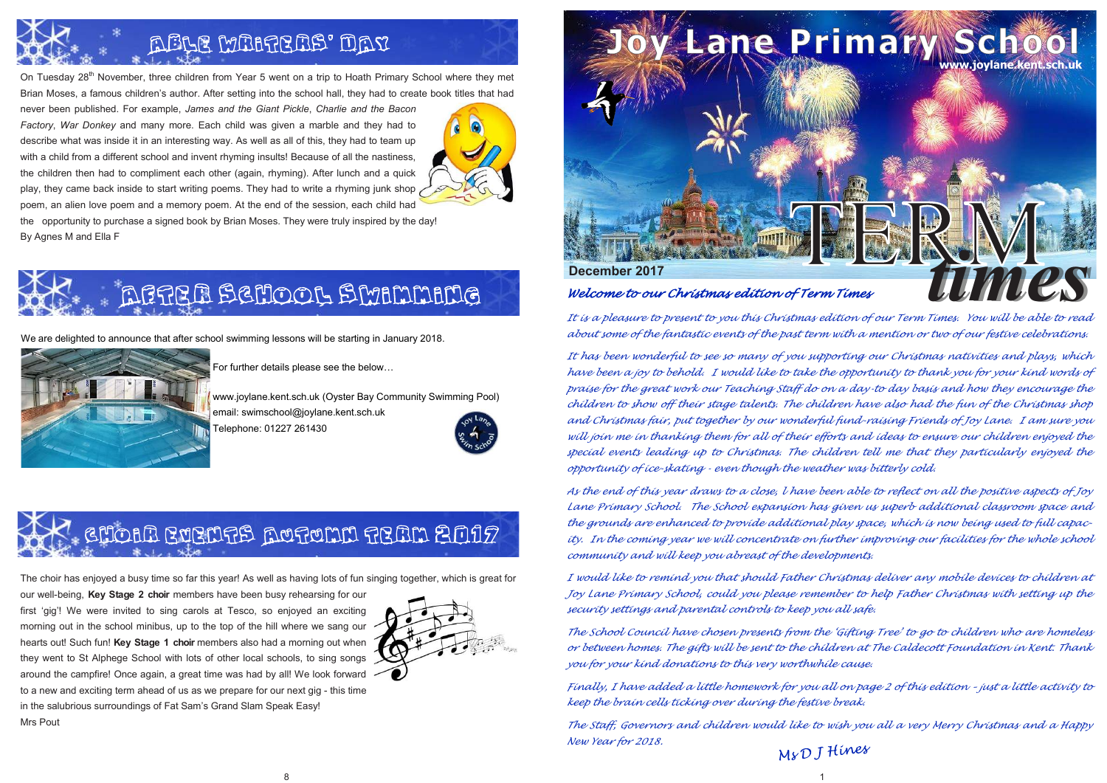

#### *Welcome to our Christmas edition of Term Times*

*It is a pleasure to present to you this Christmas edition of our Term Times. You will be able to read about some of the fantastic events of the past term with a mention or two of our festive celebrations.*

*It has been wonderful to see so many of you supporting our Christmas nativities and plays, which have been a joy to behold. I would like to take the opportunity to thank you for your kind words of praise for the great work our Teaching Staff do on a day-to day basis and how they encourage the children to show off their stage talents. The children have also had the fun of the Christmas shop and Christmas fair, put together by our wonderful fund-raising Friends of Joy Lane. I am sure you will join me in thanking them for all of their efforts and ideas to ensure our children enjoyed the special events leading up to Christmas. The children tell me that they particularly enjoyed the opportunity of ice-skating - even though the weather was bitterly cold.*

## ABLE MARTEAS' DAY

On Tuesday 28<sup>th</sup> November, three children from Year 5 went on a trip to Hoath Primary School where they met Brian Moses, a famous children's author. After setting into the school hall, they had to create book titles that had

> *As the end of this year draws to a close, l have been able to reflect on all the positive aspects of Joy Lane Primary School. The School expansion has given us superb additional classroom space and the grounds are enhanced to provide additional play space, which is now being used to full capacity. In the coming year we will concentrate on further improving our facilities for the whole school community and will keep you abreast of the developments.*

> *I would like to remind you that should Father Christmas deliver any mobile devices to children at Joy Lane Primary School, could you please remember to help Father Christmas with setting up the security settings and parental controls to keep you all safe.*

> *The School Council have chosen presents from the 'Gifting Tree' to go to children who are homeless or between homes. The gifts will be sent to the children at The Caldecott Foundation in Kent. Thank you for your kind donations to this very worthwhile cause.*

> *Finally, I have added a little homework for you all on page 2 of this edition – just a little activity to keep the brain cells ticking over during the festive break.*

> *The Staff, Governors and children would like to wish you all a very Merry Christmas and a Happy New Year for 2018.*

never been published. For example, *James and the Giant Pickle*, *Charlie and the Bacon Factory*, *War Donkey* and many more. Each child was given a marble and they had to describe what was inside it in an interesting way. As well as all of this, they had to team up with a child from a different school and invent rhyming insults! Because of all the nastiness, the children then had to compliment each other (again, rhyming). After lunch and a quick play, they came back inside to start writing poems. They had to write a rhyming junk shop poem, an alien love poem and a memory poem. At the end of the session, each child had



the opportunity to purchase a signed book by Brian Moses. They were truly inspired by the day! By Agnes M and Ella F

## Choir events Autumn Term 2017

The choir has enjoyed a busy time so far this year! As well as having lots of fun singing together, which is great for

our well-being, **Key Stage 2 choir** members have been busy rehearsing for our first 'gig'! We were invited to sing carols at Tesco, so enjoyed an exciting morning out in the school minibus, up to the top of the hill where we sang our hearts out! Such fun! **Key Stage 1 choir** members also had a morning out when they went to St Alphege School with lots of other local schools, to sing songs around the campfire! Once again, a great time was had by all! We look forward to a new and exciting term ahead of us as we prepare for our next gig - this time in the salubrious surroundings of Fat Sam's Grand Slam Speak Easy! Mrs Pout





We are delighted to announce that after school swimming lessons will be starting in January 2018.



For further details please see the below…

www.joylane.kent.sch.uk (Oyster Bay Community Swimming Pool) email: swimschool@joylane.kent.sch.uk Telephone: 01227 261430

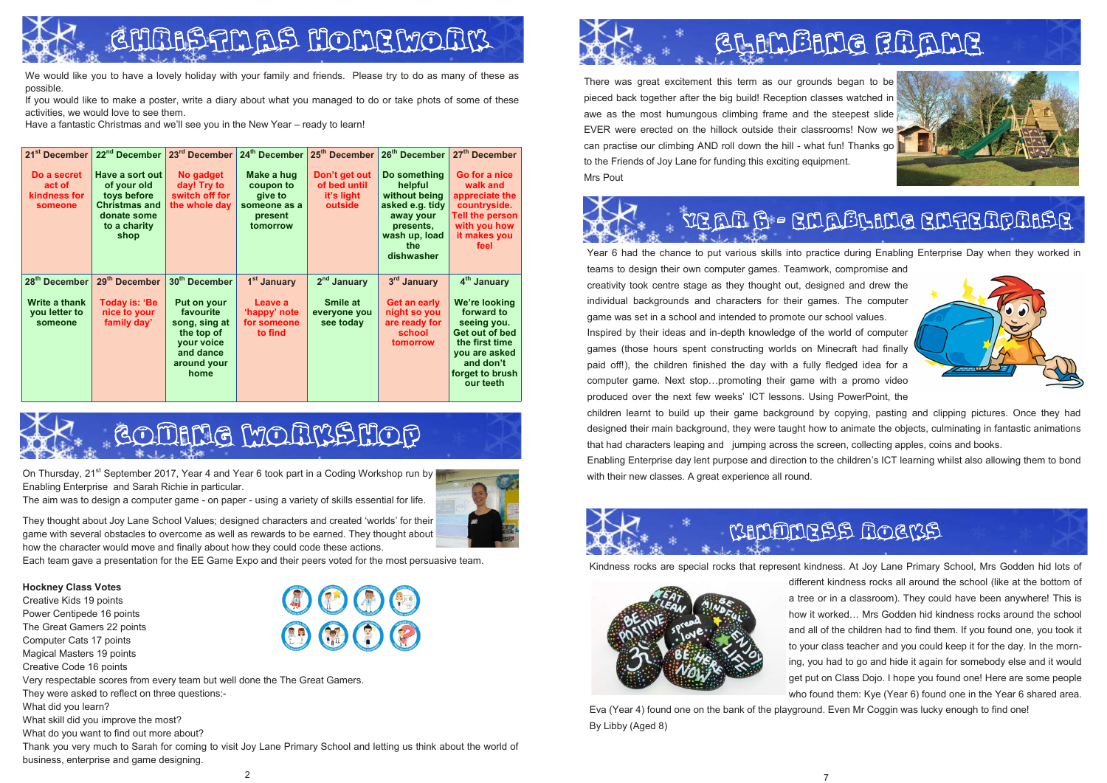On Thursday,  $21^{st}$  September 2017, Year 4 and Year 6 took part in a Coding Workshop run by Enabling Enterprise and Sarah Richie in particular.

The aim was to design a computer game - on paper - using a variety of skills essential for life.



They thought about Joy Lane School Values; designed characters and created 'worlds' for their game with several obstacles to overcome as well as rewards to be earned. They thought about how the character would move and finally about how they could code these actions.

Each team gave a presentation for the EE Game Expo and their peers voted for the most persuasive team.

**Hockney Class Votes**

Creative Kids 19 points Power Centipede 16 points The Great Gamers 22 points Computer Cats 17 points Magical Masters 19 points Creative Code 16 points Very respectable scores from every team but well done the The Great Gamers. They were asked to reflect on three questions:- What did you learn? What skill did you improve the most? What do you want to find out more about? Thank you very much to Sarah for coming to visit Joy Lane Primary School and letting us think about the world of

business, enterprise and game designing.





There was great excitement this term as our grounds began to be pieced back together after the big build! Reception classes watched in awe as the most humungous climbing frame and the steepest slide EVER were erected on the hillock outside their classrooms! Now we can practise our climbing AND roll down the hill - what fun! Thanks go to the Friends of Joy Lane for funding this exciting equipment. Mrs Pout



Year 6 had the chance to put various skills into practice during Enabling Enterprise Day when they worked in teams to design their own computer games. Teamwork, compromise and creativity took centre stage as they thought out, designed and drew the individual backgrounds and characters for their games. The computer game was set in a school and intended to promote our school values. Inspired by their ideas and in-depth knowledge of the world of computer games (those hours spent constructing worlds on Minecraft had finally paid off!), the children finished the day with a fully fledged idea for a computer game. Next stop…promoting their game with a promo video produced over the next few weeks' ICT lessons. Using PowerPoint, the children learnt to build up their game background by copying, pasting and clipping pictures. Once they had designed their main background, they were taught how to animate the objects, culminating in fantastic animations that had characters leaping and jumping across the screen, collecting apples, coins and books. Enabling Enterprise day lent purpose and direction to the children's ICT learning whilst also allowing them to bond with their new classes. A great experience all round.



Kindness rocks are special rocks that represent kindness. At Joy Lane Primary School, Mrs Godden hid lots of different kindness rocks all around the school (like at the bottom of a tree or in a classroom). They could have been anywhere! This is how it worked… Mrs Godden hid kindness rocks around the school and all of the children had to find them. If you found one, you took it to your class teacher and you could keep it for the day. In the morning, you had to go and hide it again for somebody else and it would get put on Class Dojo. I hope you found one! Here are some people who found them: Kye (Year 6) found one in the Year 6 shared area. Eva (Year 4) found one on the bank of the playground. Even Mr Coggin was lucky enough to find one!



By Libby (Aged 8)

## GLAMBANG GRAME



### VEAR 6 - ENABLING ENTERPRISE



### KINDNESS ROCKS

# GHRAS HOMEWORK

We would like you to have a lovely holiday with your family and friends. Please try to do as many of these as possible.

If you would like to make a poster, write a diary about what you managed to do or take phots of some of these activities, we would love to see them.

Have a fantastic Christmas and we'll see you in the New Year – ready to learn!

| 21 <sup>st</sup> December<br>Do a secret<br>act of<br>kindness for<br>someone | 22 <sup>nd</sup> December<br>Have a sort out<br>of your old<br>toys before<br><b>Christmas and</b><br>donate some<br>to a charity<br>shop | 23rd December<br>No gadget<br>day! Try to<br>switch off for<br>the whole day                                                           | 24th December<br>Make a hug<br>coupon to<br>give to<br>someone as a<br>present<br>tomorrow | 25 <sup>th</sup> December<br>Don't get out<br>of bed until<br>it's light<br>outside | 26 <sup>th</sup> December<br>Do something<br>helpful<br>without being<br>asked e.g. tidy<br>away your<br>presents,<br>wash up, load<br>the<br>dishwasher | 27 <sup>th</sup> December<br>Go for a nice<br>walk and<br>appreciate the<br>countryside.<br>Tell the person<br>with you how<br>it makes you<br>feel                     |
|-------------------------------------------------------------------------------|-------------------------------------------------------------------------------------------------------------------------------------------|----------------------------------------------------------------------------------------------------------------------------------------|--------------------------------------------------------------------------------------------|-------------------------------------------------------------------------------------|----------------------------------------------------------------------------------------------------------------------------------------------------------|-------------------------------------------------------------------------------------------------------------------------------------------------------------------------|
| 28 <sup>th</sup> December<br>Write a thank<br>you letter to<br>someone        | 29 <sup>th</sup> December<br><b>Today is: 'Be</b><br>nice to your<br>family day'                                                          | 30 <sup>th</sup> December<br>Put on your<br>favourite<br>song, sing at<br>the top of<br>your voice<br>and dance<br>around your<br>home | 1 <sup>st</sup> January<br>Leave a<br>'happy' note<br>for someone<br>to find               | 2 <sup>nd</sup> January<br>Smile at<br>everyone you<br>see today                    | 3rd January<br>Get an early<br>night so you<br>are ready for<br>school<br>tomorrow                                                                       | 4 <sup>th</sup> January<br>We're looking<br>forward to<br>seeing you.<br>Get out of bed<br>the first time<br>you are asked<br>and don't<br>forget to brush<br>our teeth |



## GOMANG MONKSHOP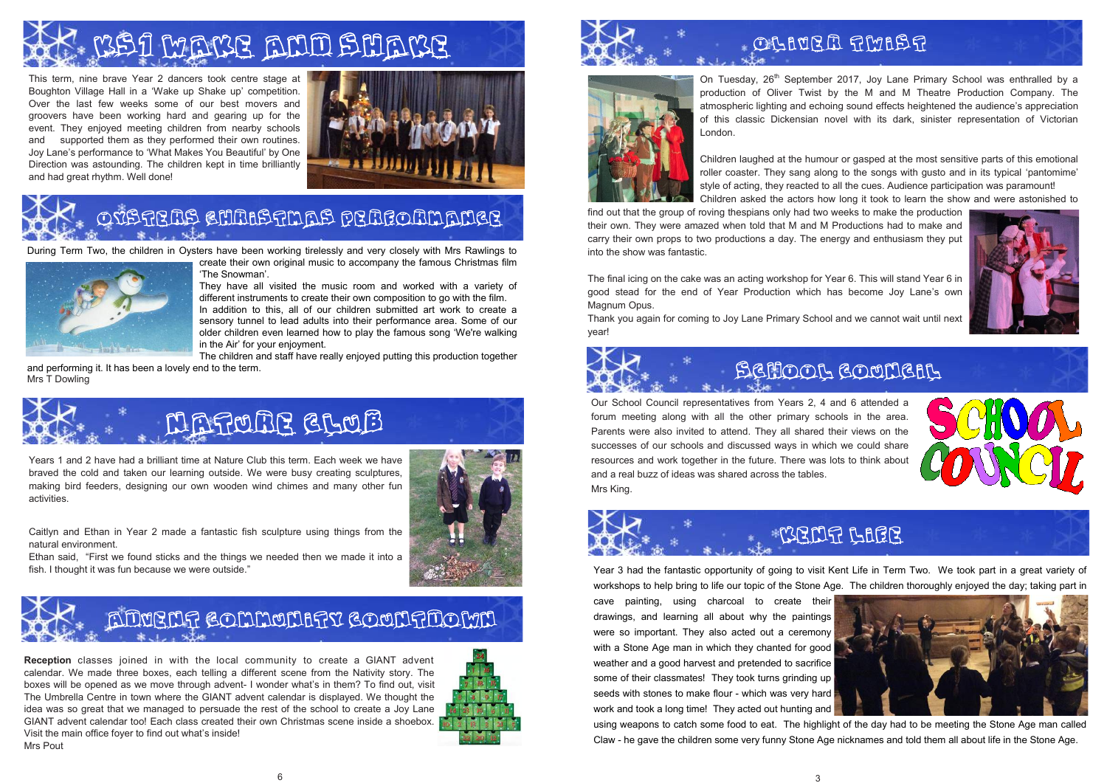## Oysters Christmas performance



# Make ann snar

This term, nine brave Year 2 dancers took centre stage at Boughton Village Hall in a 'Wake up Shake up' competition. Over the last few weeks some of our best movers and groovers have been working hard and gearing up for the event. They enjoyed meeting children from nearby schools and supported them as they performed their own routines. Joy Lane's performance to 'What Makes You Beautiful' by One Direction was astounding. The children kept in time brilliantly and had great rhythm. Well done!



On Tuesday,  $26<sup>th</sup>$  September 2017, Joy Lane Primary School was enthralled by a production of Oliver Twist by the M and M Theatre Production Company. The atmospheric lighting and echoing sound effects heightened the audience's appreciation of this classic Dickensian novel with its dark, sinister representation of Victorian London.

Children laughed at the humour or gasped at the most sensitive parts of this emotional roller coaster. They sang along to the songs with gusto and in its typical 'pantomime' style of acting, they reacted to all the cues. Audience participation was paramount! Children asked the actors how long it took to learn the show and were astonished to

The children and staff have really enjoyed putting this production together and performing it. It has been a lovely end to the term. and performing it. It has been a lovely end to the term.<br>Mrs T Dowling

find out that the group of roving thespians only had two weeks to make the production their own. They were amazed when told that M and M Productions had to make and carry their own props to two productions a day. The energy and enthusiasm they put into the show was fantastic.

The final icing on the cake was an acting workshop for Year 6. This will stand Year 6 in good stead for the end of Year Production which has become Joy Lane's own Magnum Opus.

Thank you again for coming to Joy Lane Primary School and we cannot wait until next year!



During Term Two, the children in Oysters have been working tirelessly and very closely with Mrs Rawlings to



create their own original music to accompany the famous Christmas film 'The Snowman'.

fish. I thought it was fun because we were outside." <br>
Year 3 had the fantastic opportunity of going to visit Kent Life in Term Two. We took part in a great variety of workshops to help bring to life our topic of the Stone Age. The children thoroughly enjoyed the day; taking part in cave painting, using charcoal to create their drawings, and learning all about why the paintings were so important. They also acted out a ceremony with a Stone Age man in which they chanted for good weather and a good harvest and pretended to sacrifice some of their classmates! They took turns grinding up seeds with stones to make flour - which was very hard work and took a long time! They acted out hunting and using weapons to catch some food to eat. The highlight of the day had to be meeting the Stone Age man called Claw - he gave the children some very funny Stone Age nicknames and told them all about life in the Stone Age.





### WENT LACE



They have all visited the music room and worked with a variety of different instruments to create their own composition to go with the film. In addition to this, all of our children submitted art work to create a sensory tunnel to lead adults into their performance area. Some of our older children even learned how to play the famous song 'We're walking in the Air' for your enjoyment.

> Our School Council representatives from Years 2, 4 and 6 attended a forum meeting along with all the other primary schools in the area. Parents were also invited to attend. They all shared their views on the successes of our schools and discussed ways in which we could share resources and work together in the future. There was lots to think about and a real buzz of ideas was shared across the tables. Mrs King.



Years 1 and 2 have had a brilliant time at Nature Club this term. Each week we have braved the cold and taken our learning outside. We were busy creating sculptures, making bird feeders, designing our own wooden wind chimes and many other fun activities.

Caitlyn and Ethan in Year 2 made a fantastic fish sculpture using things from the natural environment.



Ethan said, "First we found sticks and the things we needed then we made it into a

## ADUENT COMMUNITY COUNTIDOWN

**Reception** classes joined in with the local community to create a GIANT advent calendar. We made three boxes, each telling a different scene from the Nativity story. The boxes will be opened as we move through advent- I wonder what's in them? To find out, visit The Umbrella Centre in town where the GIANT advent calendar is displayed. We thought the idea was so great that we managed to persuade the rest of the school to create a Joy Lane GIANT advent calendar too! Each class created their own Christmas scene inside a shoebox. Visit the main office foyer to find out what's inside! Mrs Pout





### OLIVER TWIST

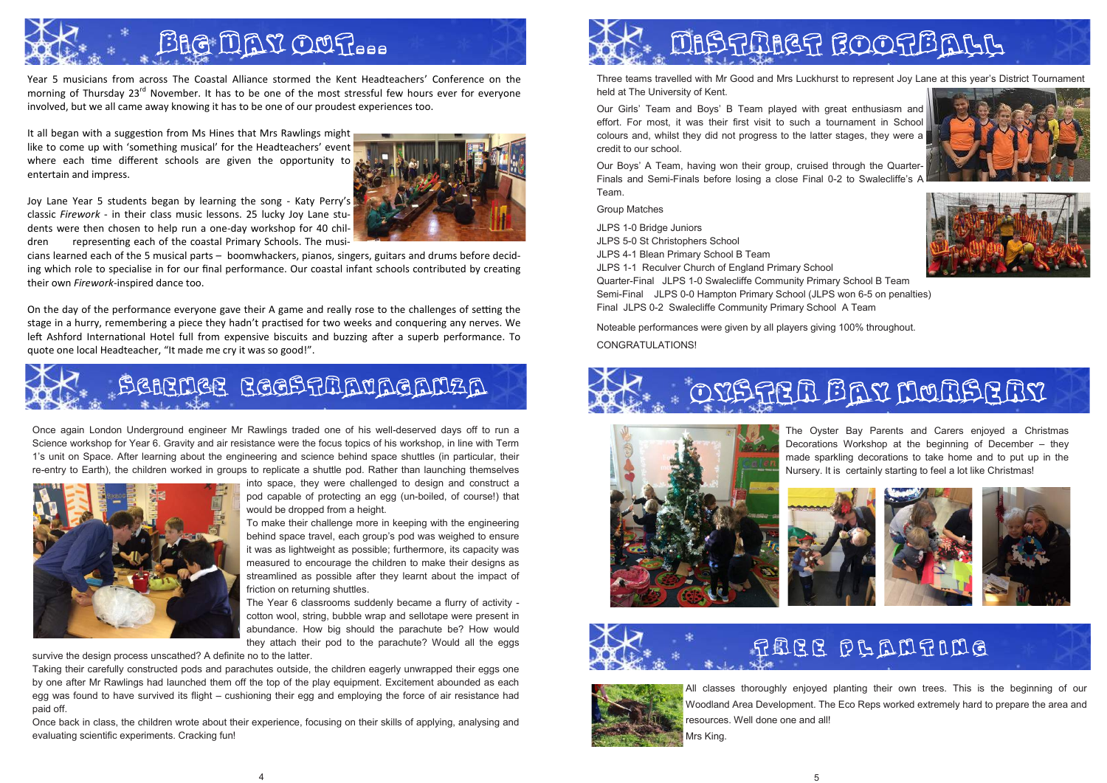Year 5 musicians from across The Coastal Alliance stormed the Kent Headteachers' Conference on the morning of Thursday 23<sup>rd</sup> November. It has to be one of the most stressful few hours ever for everyone involved, but we all came away knowing it has to be one of our proudest experiences too.

It all began with a suggestion from Ms Hines that Mrs Rawlings might like to come up with 'something musical' for the Headteachers' event where each time different schools are given the opportunity to entertain and impress.

Joy Lane Year 5 students began by learning the song - Katy Perry's classic *Firework* - in their class music lessons. 25 lucky Joy Lane students were then chosen to help run a one-day workshop for 40 children representing each of the coastal Primary Schools. The musi-



cians learned each of the 5 musical parts – boomwhackers, pianos, singers, guitars and drums before deciding which role to specialise in for our final performance. Our coastal infant schools contributed by creating their own *Firework*-inspired dance too.

On the day of the performance everyone gave their A game and really rose to the challenges of setting the stage in a hurry, remembering a piece they hadn't practised for two weeks and conquering any nerves. We left Ashford International Hotel full from expensive biscuits and buzzing after a superb performance. To quote one local Headteacher, "It made me cry it was so good!".

Three teams travelled with Mr Good and Mrs Luckhurst to represent Joy Lane at this year's District Tournament held at The University of Kent.

Our Girls' Team and Boys' B Team played with great enthusiasm and effort. For most, it was their first visit to such a tournament in School colours and, whilst they did not progress to the latter stages, they were a credit to our school.

Our Boys' A Team, having won their group, cruised through the Quarter-Finals and Semi-Finals before losing a close Final 0-2 to Swalecliffe's A Team.

Group Matches

JLPS 1-0 Bridge Juniors JLPS 5-0 St Christophers School JLPS 4-1 Blean Primary School B Team JLPS 1-1 Reculver Church of England Primary School Quarter-Final JLPS 1-0 Swalecliffe Community Primary School B Team Semi-Final JLPS 0-0 Hampton Primary School (JLPS won 6-5 on penalties) Final JLPS 0-2 Swalecliffe Community Primary School A Team

Noteable performances were given by all players giving 100% throughout.

CONGRATULATIONS!













Once again London Underground engineer Mr Rawlings traded one of his well-deserved days off to run a Science workshop for Year 6. Gravity and air resistance were the focus topics of his workshop, in line with Term 1's unit on Space. After learning about the engineering and science behind space shuttles (in particular, their re-entry to Earth), the children worked in groups to replicate a shuttle pod. Rather than launching themselves



into space, they were challenged to design and construct a pod capable of protecting an egg (un-boiled, of course!) that would be dropped from a height.

To make their challenge more in keeping with the engineering behind space travel, each group's pod was weighed to ensure it was as lightweight as possible; furthermore, its capacity was measured to encourage the children to make their designs as streamlined as possible after they learnt about the impact of friction on returning shuttles.

The Year 6 classrooms suddenly became a flurry of activity cotton wool, string, bubble wrap and sellotape were present in abundance. How big should the parachute be? How would they attach their pod to the parachute? Would all the eggs

survive the design process unscathed? A definite no to the latter.

Taking their carefully constructed pods and parachutes outside, the children eagerly unwrapped their eggs one by one after Mr Rawlings had launched them off the top of the play equipment. Excitement abounded as each egg was found to have survived its flight – cushioning their egg and employing the force of air resistance had paid off.

Once back in class, the children wrote about their experience, focusing on their skills of applying, analysing and evaluating scientific experiments. Cracking fun!



The Oyster Bay Parents and Carers enjoyed a Christmas Decorations Workshop at the beginning of December – they made sparkling decorations to take home and to put up in the Nursery. It is certainly starting to feel a lot like Christmas!





#### RABB PLANTING

All classes thoroughly enjoyed planting their own trees. This is the beginning of our Woodland Area Development. The Eco Reps worked extremely hard to prepare the area and

resources. Well done one and all! Mrs King.





## OYSTER BAY NURSERY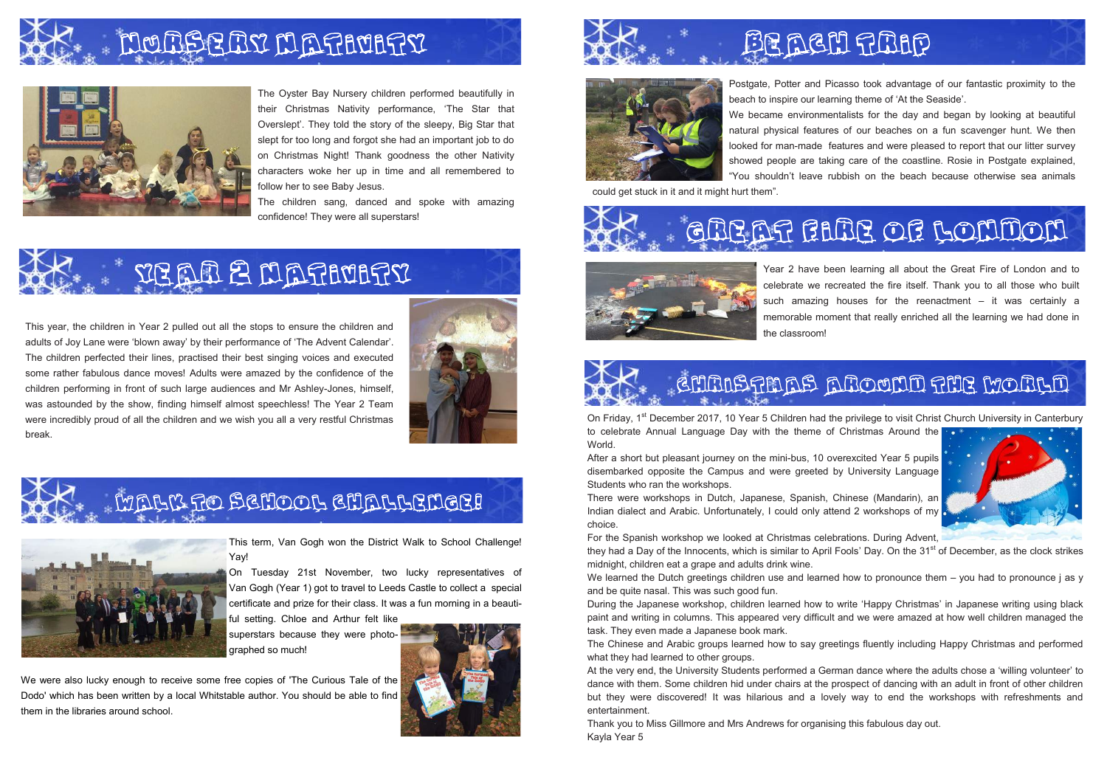The Oyster Bay Nursery children performed beautifully in their Christmas Nativity performance, 'The Star that Overslept'. They told the story of the sleepy, Big Star that slept for too long and forgot she had an important job to do on Christmas Night! Thank goodness the other Nativity characters woke her up in time and all remembered to follow her to see Baby Jesus.

The children sang, danced and spoke with amazing confidence! They were all superstars!





Postgate, Potter and Picasso took advantage of our fantastic proximity to the beach to inspire our learning theme of 'At the Seaside'. We became environmentalists for the day and began by looking at beautiful natural physical features of our beaches on a fun scavenger hunt. We then looked for man-made features and were pleased to report that our litter survey showed people are taking care of the coastline. Rosie in Postgate explained, "You shouldn't leave rubbish on the beach because otherwise sea animals

could get stuck in it and it might hurt them".





This year, the children in Year 2 pulled out all the stops to ensure the children and adults of Joy Lane were 'blown away' by their performance of 'The Advent Calendar'. The children perfected their lines, practised their best singing voices and executed some rather fabulous dance moves! Adults were amazed by the confidence of the children performing in front of such large audiences and Mr Ashley-Jones, himself, was astounded by the show, finding himself almost speechless! The Year 2 Team were incredibly proud of all the children and we wish you all a very restful Christmas break.



## WALK TO SCHOOL CHALLENGE!



On Friday, 1<sup>st</sup> December 2017, 10 Year 5 Children had the privilege to visit Christ Church University in Canterbury to celebrate Annual Language Day with the theme of Christmas Around the World.



We learned the Dutch greetings children use and learned how to pronounce them – you had to pronounce j as y and be quite nasal. This was such good fun.

Year 2 have been learning all about the Great Fire of London and to celebrate we recreated the fire itself. Thank you to all those who built such amazing houses for the reenactment – it was certainly a memorable moment that really enriched all the learning we had done in

#### GHAISTMAS AROUND THE WORLD



The Chinese and Arabic groups learned how to say greetings fluently including Happy Christmas and performed what they had learned to other groups.

the classroom!



This term, Van Gogh won the District Walk to School Challenge! Yay!

On Tuesday 21st November, two lucky representatives of Van Gogh (Year 1) got to travel to Leeds Castle to collect a special certificate and prize for their class. It was a fun morning in a beauti-

ful setting. Chloe and Arthur felt like superstars because they were photographed so much!







We were also lucky enough to receive some free copies of 'The Curious Tale of the Dodo' which has been written by a local Whitstable author. You should be able to find them in the libraries around school.

## Be new fling

## GREAT FIRE OF LONDON

After a short but pleasant journey on the mini-bus, 10 overexcited Year 5 pupils disembarked opposite the Campus and were greeted by University Language Students who ran the workshops.

There were workshops in Dutch, Japanese, Spanish, Chinese (Mandarin), an Indian dialect and Arabic. Unfortunately, I could only attend 2 workshops of my choice.

For the Spanish workshop we looked at Christmas celebrations. During Advent, they had a Day of the Innocents, which is similar to April Fools' Day. On the 31<sup>st</sup> of December, as the clock strikes midnight, children eat a grape and adults drink wine.

During the Japanese workshop, children learned how to write 'Happy Christmas' in Japanese writing using black paint and writing in columns. This appeared very difficult and we were amazed at how well children managed the task. They even made a Japanese book mark.

At the very end, the University Students performed a German dance where the adults chose a 'willing volunteer' to dance with them. Some children hid under chairs at the prospect of dancing with an adult in front of other children but they were discovered! It was hilarious and a lovely way to end the workshops with refreshments and entertainment.

Thank you to Miss Gillmore and Mrs Andrews for organising this fabulous day out. Kayla Year 5